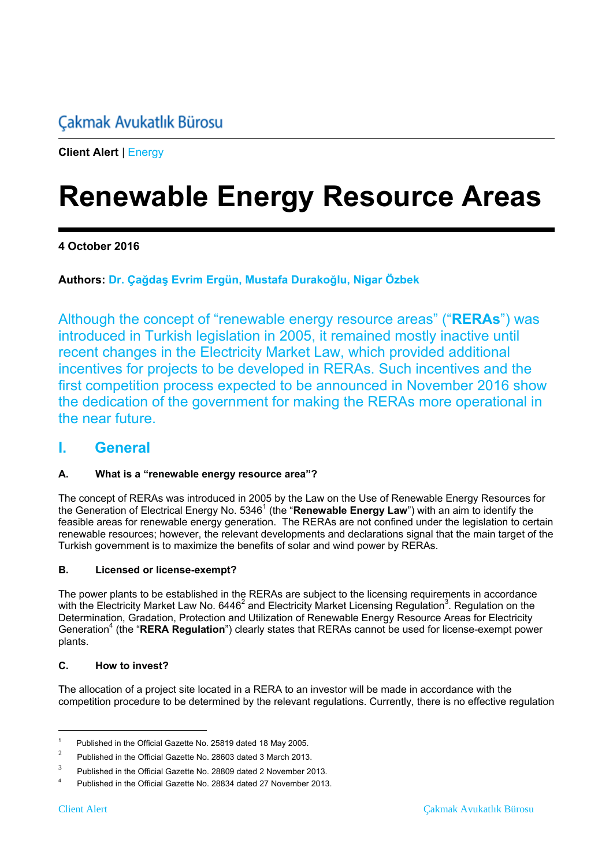# **Çakmak Avukatlık Bürosu**

**Client Alert** | Energy

# **Renewable Energy Resource Areas**

#### **4 October 2016**

#### **Authors: Dr. Çağdaş Evrim Ergün, Mustafa Durakoğlu, Nigar Özbek**

Although the concept of "renewable energy resource areas" ("**RERAs**") was introduced in Turkish legislation in 2005, it remained mostly inactive until recent changes in the Electricity Market Law, which provided additional incentives for projects to be developed in RERAs. Such incentives and the first competition process expected to be announced in November 2016 show the dedication of the government for making the RERAs more operational in the near future.

#### **I. General**

#### **A. What is a "renewable energy resource area"?**

The concept of RERAs was introduced in 2005 by the Law on the Use of Renewable Energy Resources for the Generation of Electrical Energy No. 5346<sup>1</sup> (the "Renewable Energy Law") with an aim to identify the feasible areas for renewable energy generation. The RERAs are not confined under the legislation to certain renewable resources; however, the relevant developments and declarations signal that the main target of the Turkish government is to maximize the benefits of solar and wind power by RERAs.

#### **B. Licensed or license-exempt?**

The power plants to be established in the RERAs are subject to the licensing requirements in accordance with the Electricity Market Law No. 6446<sup>2</sup> and Electricity Market Licensing Regulation<sup>3</sup>. Regulation on the Determination, Gradation, Protection and Utilization of Renewable Energy Resource Areas for Electricity Generation<sup>4</sup> (the "RERA Regulation") clearly states that RERAs cannot be used for license-exempt power plants.

#### **C. How to invest?**

The allocation of a project site located in a RERA to an investor will be made in accordance with the competition procedure to be determined by the relevant regulations. Currently, there is no effective regulation

 $\overline{a}$ 

<sup>1</sup> Published in the Official Gazette No. 25819 dated 18 May 2005.

<sup>2</sup> Published in the Official Gazette No. 28603 dated 3 March 2013.

<sup>3</sup> Published in the Official Gazette No. 28809 dated 2 November 2013.

<sup>4</sup> Published in the Official Gazette No. 28834 dated 27 November 2013.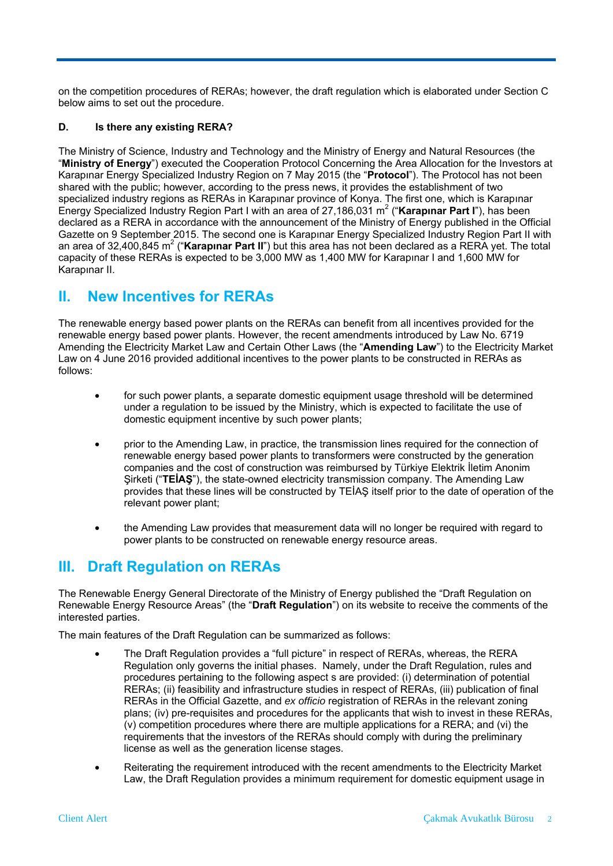on the competition procedures of RERAs; however, the draft regulation which is elaborated under Section C below aims to set out the procedure.

#### **D. Is there any existing RERA?**

The Ministry of Science, Industry and Technology and the Ministry of Energy and Natural Resources (the "**Ministry of Energy**") executed the Cooperation Protocol Concerning the Area Allocation for the Investors at Karapınar Energy Specialized Industry Region on 7 May 2015 (the "**Protocol**"). The Protocol has not been shared with the public; however, according to the press news, it provides the establishment of two specialized industry regions as RERAs in Karapınar province of Konya. The first one, which is Karapınar Energy Specialized Industry Region Part I with an area of 27,186,031 m<sup>2</sup> ("**Karapınar Part I**"), has been declared as a RERA in accordance with the announcement of the Ministry of Energy published in the Official Gazette on 9 September 2015. The second one is Karapınar Energy Specialized Industry Region Part II with an area of 32,400,845 m<sup>2</sup> ("**Karapınar Part II**") but this area has not been declared as a RERA yet. The total capacity of these RERAs is expected to be 3,000 MW as 1,400 MW for Karapınar I and 1,600 MW for Karapınar II.

### **II. New Incentives for RERAs**

The renewable energy based power plants on the RERAs can benefit from all incentives provided for the renewable energy based power plants. However, the recent amendments introduced by Law No. 6719 Amending the Electricity Market Law and Certain Other Laws (the "**Amending Law**") to the Electricity Market Law on 4 June 2016 provided additional incentives to the power plants to be constructed in RERAs as follows:

- for such power plants, a separate domestic equipment usage threshold will be determined under a regulation to be issued by the Ministry, which is expected to facilitate the use of domestic equipment incentive by such power plants;
- prior to the Amending Law, in practice, the transmission lines required for the connection of renewable energy based power plants to transformers were constructed by the generation companies and the cost of construction was reimbursed by Türkiye Elektrik İletim Anonim Şirketi ("**TEİAŞ**"), the state-owned electricity transmission company. The Amending Law provides that these lines will be constructed by TEİAŞ itself prior to the date of operation of the relevant power plant;
- the Amending Law provides that measurement data will no longer be required with regard to power plants to be constructed on renewable energy resource areas.

# **III. Draft Regulation on RERAs**

The Renewable Energy General Directorate of the Ministry of Energy published the "Draft Regulation on Renewable Energy Resource Areas" (the "**Draft Regulation**") on its website to receive the comments of the interested parties.

The main features of the Draft Regulation can be summarized as follows:

- The Draft Regulation provides a "full picture" in respect of RERAs, whereas, the RERA Regulation only governs the initial phases. Namely, under the Draft Regulation, rules and procedures pertaining to the following aspect s are provided: (i) determination of potential RERAs; (ii) feasibility and infrastructure studies in respect of RERAs, (iii) publication of final RERAs in the Official Gazette, and *ex officio* registration of RERAs in the relevant zoning plans; (iv) pre-requisites and procedures for the applicants that wish to invest in these RERAs, (v) competition procedures where there are multiple applications for a RERA; and (vi) the requirements that the investors of the RERAs should comply with during the preliminary license as well as the generation license stages.
- Reiterating the requirement introduced with the recent amendments to the Electricity Market Law, the Draft Regulation provides a minimum requirement for domestic equipment usage in